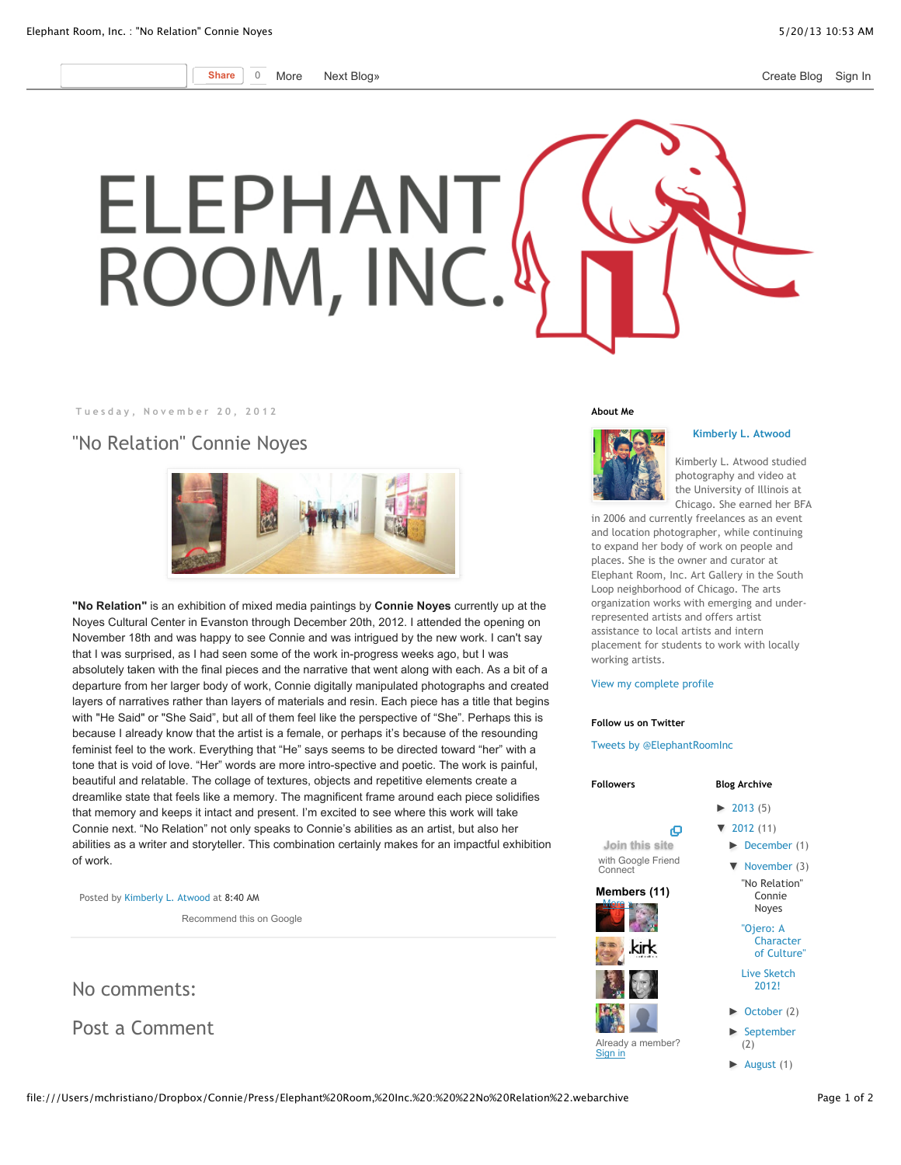**Share** 0 More [Next Blog»](http://www.blogger.com/next-blog?navBar=true&blogID=9009962423618524832) **[Create Blog](http://www.blogger.com/home#create) [Sign In](http://www.blogger.com/)** 

## ELEPHANT ROOM, INC.

**Tuesday, November 20, 2012**

"No Relation" Connie Noyes



**"No Relation"** is an exhibition of mixed media paintings by **Connie Noyes** currently up at the Noyes Cultural Center in Evanston through December 20th, 2012. I attended the opening on November 18th and was happy to see Connie and was intrigued by the new work. I can't say that I was surprised, as I had seen some of the work in-progress weeks ago, but I was absolutely taken with the final pieces and the narrative that went along with each. As a bit of a departure from her larger body of work, Connie digitally manipulated photographs and created layers of narratives rather than layers of materials and resin. Each piece has a title that begins with "He Said" or "She Said", but all of them feel like the perspective of "She". Perhaps this is because I already know that the artist is a female, or perhaps it's because of the resounding feminist feel to the work. Everything that "He" says seems to be directed toward "her" with a tone that is void of love. "Her" words are more intro-spective and poetic. The work is painful, beautiful and relatable. The collage of textures, objects and repetitive elements create a dreamlike state that feels like a memory. The magnificent frame around each piece solidifies that memory and keeps it intact and present. I'm excited to see where this work will take Connie next. "No Relation" not only speaks to Connie's abilities as an artist, but also her abilities as a writer and storyteller. This combination certainly makes for an impactful exhibition of work.

Posted by [Kimberly L. Atwood](https://plus.google.com/104510036572463831499) at [8:40 AM](http://elephantroominc.blogspot.com/2012/11/no-relation-connie-noyes.html)

Recommend this on Google

No comments:

Post a Comment

## **About Me**



**[Kimberly L. Atwood](https://plus.google.com/104510036572463831499)**

Kimberly L. Atwood studied photography and video at the University of Illinois at Chicago. She earned her BFA

in 2006 and currently freelances as an event and location photographer, while continuing to expand her body of work on people and places. She is the owner and curator at Elephant Room, Inc. Art Gallery in the South Loop neighborhood of Chicago. The arts organization works with emerging and underrepresented artists and offers artist assistance to local artists and intern placement for students to work with locally working artists.

## [View my complete profile](https://plus.google.com/104510036572463831499)

## **Follow us on Twitter**

[Tweets by @ElephantRoomInc](https://twitter.com/ElephantRoomInc)

| <b>Followers</b>              | <b>Blog Archive</b>                  |
|-------------------------------|--------------------------------------|
|                               | $\blacktriangleright$ 2013 (5)       |
| o<br>Join this site           | $\blacktriangledown$ 2012 (11)       |
| with Google Friend<br>Connect | December (1<br>November (3           |
| Members (11)<br>More »        | "No Relation"<br>Connie<br>Noyes     |
|                               | "Ojero: A<br>Character<br>of Culture |
|                               | <b>Live Sketch</b><br>2012!          |
|                               | $\triangleright$ October (2)         |
| Already a member?<br>Sign in  | September<br>(2)                     |
|                               | $\blacktriangleright$ August (1)     |

 $(1)$  $(3)$